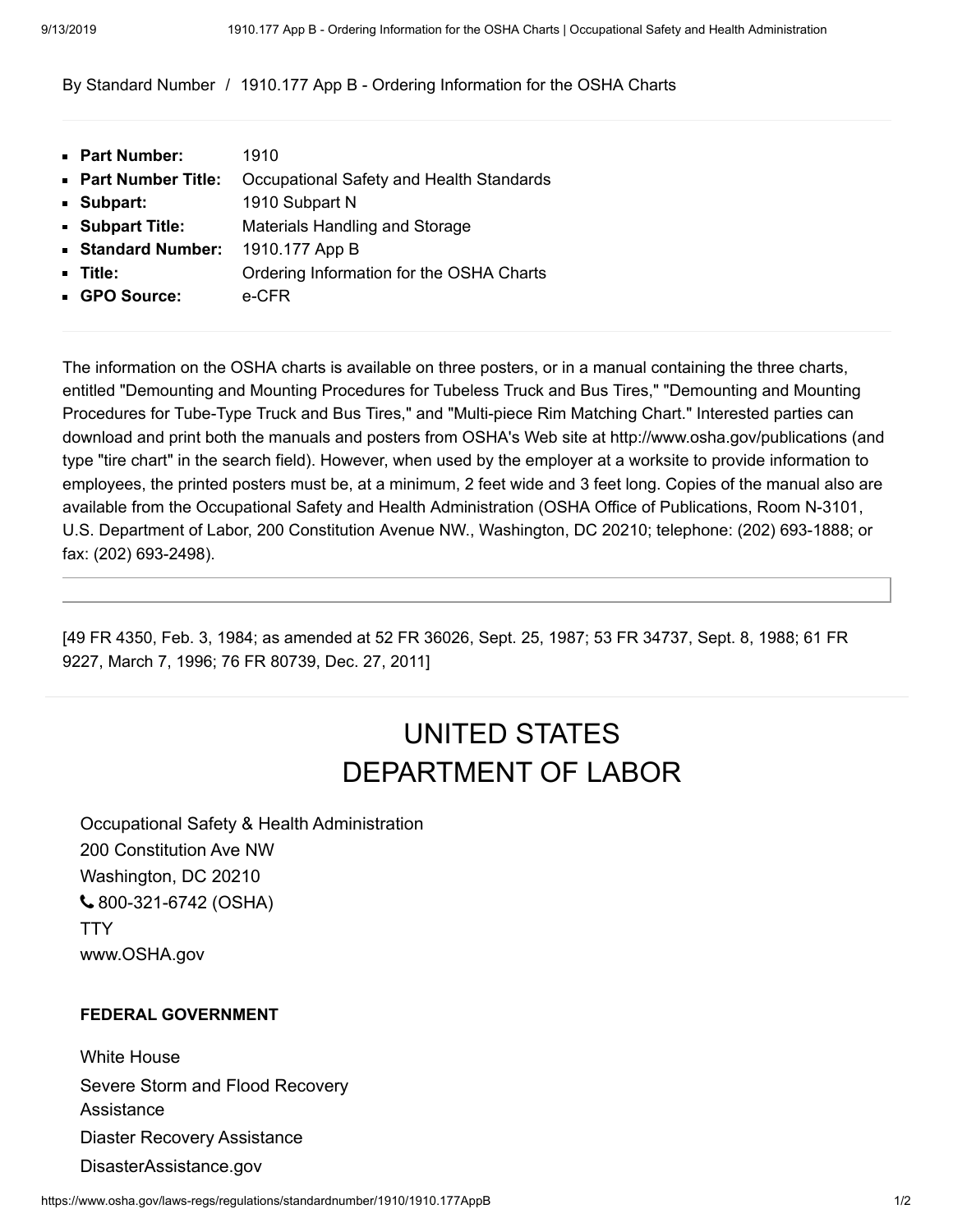[By Standard Number](https://www.osha.gov/laws-regs/regulations/standardnumber) / 1910.177 App B - Ordering Information for the OSHA Charts

| • Part Number:            | 1910                                     |
|---------------------------|------------------------------------------|
| <b>Part Number Title:</b> | Occupational Safety and Health Standards |
| Subpart:                  | 1910 Subpart N                           |
| Subpart Title:            | Materials Handling and Storage           |
| Standard Number:          | 1910.177 App B                           |
| - Title:                  | Ordering Information for the OSHA Charts |
| GPO Source:               | e-CFR                                    |
|                           |                                          |

The information on the OSHA charts is available on three posters, or in a manual containing the three charts, entitled "Demounting and Mounting Procedures for Tubeless Truck and Bus Tires," "Demounting and Mounting Procedures for Tube-Type Truck and Bus Tires," and "Multi-piece Rim Matching Chart." Interested parties can download and print both the manuals and posters from OSHA's Web site at [http://www.osha.gov/publications](https://www.osha.gov/publications) (and type "tire chart" in the search field). However, when used by the employer at a worksite to provide information to employees, the printed posters must be, at a minimum, 2 feet wide and 3 feet long. Copies of the manual also are available from the Occupational Safety and Health Administration (OSHA Office of Publications, Room N-3101, U.S. Department of Labor, 200 Constitution Avenue NW., Washington, DC 20210; telephone: (202) 693-1888; or fax: (202) 693-2498).

[49 FR 4350, Feb. 3, 1984; as amended at 52 FR 36026, Sept. 25, 1987; 53 FR 34737, Sept. 8, 1988; 61 FR 9227, March 7, 1996; 76 FR 80739, Dec. 27, 2011]

## UNITED STATES [DEPARTMENT OF LABOR](https://www.dol.gov/)

Occupational Safety & Health Administration 200 Constitution Ave NW Washington, DC 20210 [800-321-6742](tel:+18003216742) (OSHA) **[TTY](https://www.dol.gov/general/contact-phone-call-center#tty)** [www.OSHA.gov](https://www.osha.gov/)

## **FEDERAL GOVERNMENT**

[White House](https://www.whitehouse.gov/) [Severe Storm and Flood Recovery](https://www.dol.gov/general/stormrecovery) Assistance [Diaster Recovery Assistance](https://www.dol.gov/general/disasterrecovery) [DisasterAssistance.gov](https://www.disasterassistance.gov/)